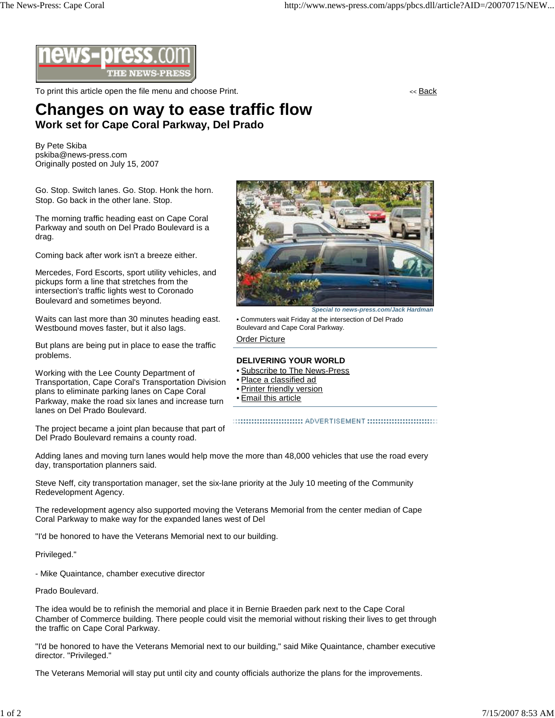

To print this article open the file menu and choose Print. The state of the state of the state of the state of the state of the state of the state of the state of the state of the state of the state of the state of the sta

## **Changes on way to ease traffic flow Work set for Cape Coral Parkway, Del Prado**

By Pete Skiba pskiba@news-press.com Originally posted on July 15, 2007

Go. Stop. Switch lanes. Go. Stop. Honk the horn. Stop. Go back in the other lane. Stop.

The morning traffic heading east on Cape Coral Parkway and south on Del Prado Boulevard is a drag.

Coming back after work isn't a breeze either.

Mercedes, Ford Escorts, sport utility vehicles, and pickups form a line that stretches from the intersection's traffic lights west to Coronado Boulevard and sometimes beyond.

Waits can last more than 30 minutes heading east. Westbound moves faster, but it also lags.

But plans are being put in place to ease the traffic problems.

Working with the Lee County Department of Transportation, Cape Coral's Transportation Division plans to eliminate parking lanes on Cape Coral Parkway, make the road six lanes and increase turn lanes on Del Prado Boulevard.

The project became a joint plan because that part of Del Prado Boulevard remains a county road.



• Commuters wait Friday at the intersection of Del Prado Boulevard and Cape Coral Parkway.

Order Picture

## **DELIVERING YOUR WORLD**

- Subscribe to The News-Press
- Place a classified ad
- Printer friendly version
- Email this article

::::::::::::::::::::::::::::::::: ADVERTISEMENT ::::::::::::::::::::::::::::::::

Adding lanes and moving turn lanes would help move the more than 48,000 vehicles that use the road every day, transportation planners said.

Steve Neff, city transportation manager, set the six-lane priority at the July 10 meeting of the Community Redevelopment Agency.

The redevelopment agency also supported moving the Veterans Memorial from the center median of Cape Coral Parkway to make way for the expanded lanes west of Del

"I'd be honored to have the Veterans Memorial next to our building.

Privileged."

- Mike Quaintance, chamber executive director

Prado Boulevard.

The idea would be to refinish the memorial and place it in Bernie Braeden park next to the Cape Coral Chamber of Commerce building. There people could visit the memorial without risking their lives to get through the traffic on Cape Coral Parkway.

"I'd be honored to have the Veterans Memorial next to our building," said Mike Quaintance, chamber executive director. "Privileged."

The Veterans Memorial will stay put until city and county officials authorize the plans for the improvements.